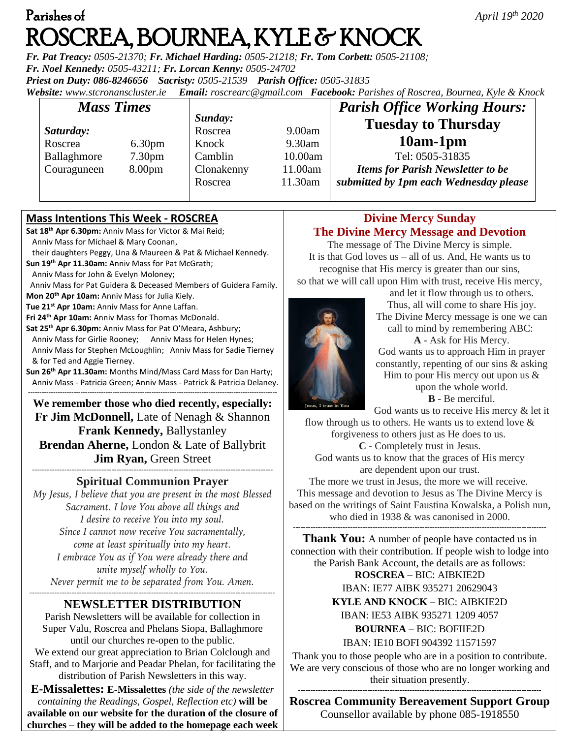# Parishes of *April 19* ROSCREA, BOURNEA, KYLE & KNOCK

*Fr. Pat Treacy: 0505-21370; Fr. Michael Harding: 0505-21218; Fr. Tom Corbett: 0505-21108; Fr. Noel Kennedy: 0505-43211; Fr. Lorcan Kenny: 0505-24702 Priest on Duty: 086-8246656 Sacristy: 0505-21539 Parish Office: 0505-31835* 

*Website: [www.stcronanscluster.ie](http://www.stcronanscluster.ie/) Email: [roscrearc@gmail.com](mailto:roscrearc@gmail.com) Facebook: Parishes of Roscrea, Bournea, Kyle & Knock* 

| <b>Mass Times</b> |                    |            |         | <b>Parish Office Working Hours:</b>      |
|-------------------|--------------------|------------|---------|------------------------------------------|
|                   |                    | Sunday:    |         | <b>Tuesday to Thursday</b>               |
| Saturday:         |                    | Roscrea    | 9.00am  |                                          |
| Roscrea           | 6.30 <sub>pm</sub> | Knock      | 9.30am  | $10am-1pm$                               |
| Ballaghmore       | 7.30 <sub>pm</sub> | Camblin    | 10.00am | Tel: 0505-31835                          |
| Couraguneen       | 8.00 <sub>pm</sub> | Clonakenny | 11.00am | <b>Items for Parish Newsletter to be</b> |
|                   |                    | Roscrea    | 11.30am | submitted by 1pm each Wednesday please   |

#### **Mass Intentions This Week - ROSCREA**

**Sat 18th Apr 6.30pm:** Anniv Mass for Victor & Mai Reid; Anniv Mass for Michael & Mary Coonan,

 their daughters Peggy, Una & Maureen & Pat & Michael Kennedy. **Sun 19th Apr 11.30am:** Anniv Mass for Pat McGrath;

Anniv Mass for John & Evelyn Moloney;

Anniv Mass for Pat Guidera & Deceased Members of Guidera Family.

**Mon 20th Apr 10am:** Anniv Mass for Julia Kiely.

**Tue 21st Apr 10am:** Anniv Mass for Anne Laffan.

**Fri 24th Apr 10am:** Anniv Mass for Thomas McDonald.

**Sat 25th Apr 6.30pm:** Anniv Mass for Pat O'Meara, Ashbury; Anniv Mass for Girlie Rooney; Anniv Mass for Helen Hynes; Anniv Mass for Stephen McLoughlin; Anniv Mass for Sadie Tierney & for Ted and Aggie Tierney.

**Sun 26th Apr 11.30am:** Months Mind/Mass Card Mass for Dan Harty; Anniv Mass - Patricia Green; Anniv Mass - Patrick & Patricia Delaney.

**------------------------------------------------------------------------------------------------------------- We remember those who died recently, especially: Fr Jim McDonnell,** Late of Nenagh & Shannon **Frank Kennedy,** Ballystanley **Brendan Aherne,** London & Late of Ballybrit **Jim Ryan,** Green Street

**------------------------------------------------------------------------------------------------- Spiritual Communion Prayer**

*My Jesus, I believe that you are present in the most Blessed Sacrament. I love You above all things and I desire to receive You into my soul. Since I cannot now receive You sacramentally, come at least spiritually into my heart. I embrace You as if You were already there and unite myself wholly to You. Never permit me to be separated from You. Amen. ---------------------------------------------------------------------------------------------------*

#### **NEWSLETTER DISTRIBUTION**

Parish Newsletters will be available for collection in Super Valu, Roscrea and Phelans Siopa, Ballaghmore until our churches re-open to the public.

We extend our great appreciation to Brian Colclough and Staff, and to Marjorie and Peadar Phelan, for facilitating the distribution of Parish Newsletters in this way.

**E-Missalettes: E-Missalettes** *(the side of the newsletter containing the Readings, Gospel, Reflection etc)* **will be available on our website for the duration of the closure of churches – they will be added to the homepage each week**

## **Divine Mercy Sunday The Divine Mercy Message and Devotion**

The message of The Divine Mercy is simple. It is that God loves us – all of us. And, He wants us to recognise that His mercy is greater than our sins, so that we will call upon Him with trust, receive His mercy,



and let it flow through us to others. Thus, all will come to share His joy. The Divine Mercy message is one we can call to mind by remembering ABC: **A** - Ask for His Mercy. God wants us to approach Him in prayer constantly, repenting of our sins & asking

Him to pour His mercy out upon us  $\&$ upon the whole world. **B** - Be merciful.

God wants us to receive His mercy & let it

flow through us to others. He wants us to extend love  $\&$ forgiveness to others just as He does to us. **C** - Completely trust in Jesus. God wants us to know that the graces of His mercy

are dependent upon our trust.

The more we trust in Jesus, the more we will receive. This message and devotion to Jesus as The Divine Mercy is based on the writings of Saint Faustina Kowalska, a Polish nun, who died in 1938 & was canonised in 2000.

**------------------------------------------------------------------------------------------------------ Thank You:** A number of people have contacted us in connection with their contribution. If people wish to lodge into the Parish Bank Account, the details are as follows:

**ROSCREA –** BIC: AIBKIE2D

IBAN: IE77 AIBK 935271 20629043 **KYLE AND KNOCK –** BIC: AIBKIE2D

IBAN: IE53 AIBK 935271 1209 4057

**BOURNEA –** BIC: BOFIIE2D IBAN: IE10 BOFI 904392 11571597

Thank you to those people who are in a position to contribute. We are very conscious of those who are no longer working and their situation presently.

-------------------------------------------------------------------------------------------------- **Roscrea Community Bereavement Support Group** Counsellor available by phone 085-1918550